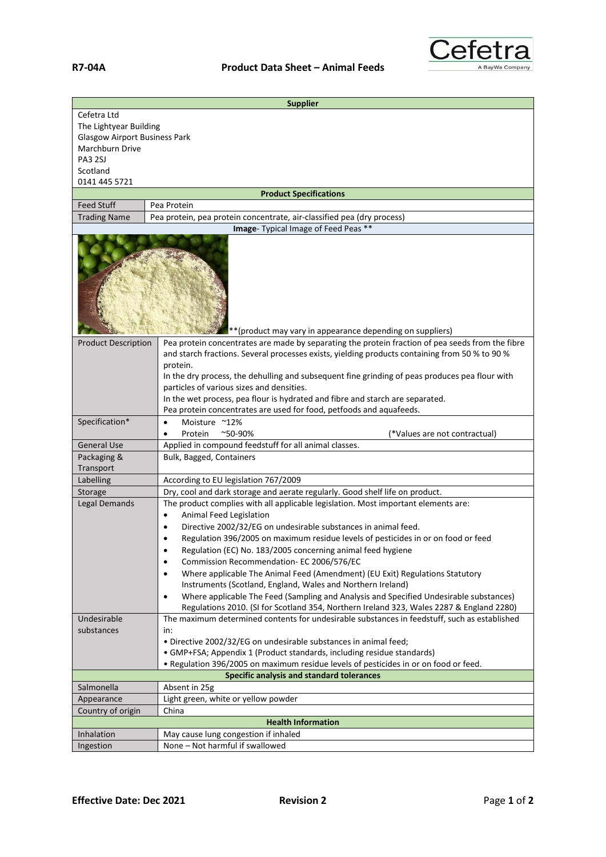

| <b>Supplier</b>                                                   |                                                                                                                                                     |  |
|-------------------------------------------------------------------|-----------------------------------------------------------------------------------------------------------------------------------------------------|--|
| Cefetra Ltd                                                       |                                                                                                                                                     |  |
| The Lightyear Building                                            |                                                                                                                                                     |  |
| <b>Glasgow Airport Business Park</b>                              |                                                                                                                                                     |  |
| Marchburn Drive                                                   |                                                                                                                                                     |  |
| PA3 2SJ                                                           |                                                                                                                                                     |  |
| Scotland                                                          |                                                                                                                                                     |  |
| 0141 445 5721                                                     |                                                                                                                                                     |  |
| <b>Product Specifications</b><br><b>Feed Stuff</b><br>Pea Protein |                                                                                                                                                     |  |
| <b>Trading Name</b>                                               | Pea protein, pea protein concentrate, air-classified pea (dry process)                                                                              |  |
|                                                                   | Image- Typical Image of Feed Peas **                                                                                                                |  |
|                                                                   |                                                                                                                                                     |  |
| ** (product may vary in appearance depending on suppliers)        |                                                                                                                                                     |  |
| <b>Product Description</b>                                        | Pea protein concentrates are made by separating the protein fraction of pea seeds from the fibre                                                    |  |
|                                                                   | and starch fractions. Several processes exists, yielding products containing from 50 % to 90 %                                                      |  |
|                                                                   | protein.                                                                                                                                            |  |
|                                                                   | In the dry process, the dehulling and subsequent fine grinding of peas produces pea flour with                                                      |  |
|                                                                   | particles of various sizes and densities.                                                                                                           |  |
|                                                                   | In the wet process, pea flour is hydrated and fibre and starch are separated.                                                                       |  |
|                                                                   | Pea protein concentrates are used for food, petfoods and aquafeeds.                                                                                 |  |
| Specification*                                                    | Moisture ~12%<br>$\bullet$                                                                                                                          |  |
|                                                                   | Protein<br>$^{\sim}$ 50-90%<br>(*Values are not contractual)                                                                                        |  |
| <b>General Use</b>                                                | Applied in compound feedstuff for all animal classes.                                                                                               |  |
| Packaging &                                                       | Bulk, Bagged, Containers                                                                                                                            |  |
| Transport                                                         |                                                                                                                                                     |  |
| Labelling                                                         | According to EU legislation 767/2009                                                                                                                |  |
| Storage                                                           | Dry, cool and dark storage and aerate regularly. Good shelf life on product.                                                                        |  |
| <b>Legal Demands</b>                                              | The product complies with all applicable legislation. Most important elements are:                                                                  |  |
|                                                                   | Animal Feed Legislation                                                                                                                             |  |
|                                                                   | Directive 2002/32/EG on undesirable substances in animal feed.<br>Regulation 396/2005 on maximum residue levels of pesticides in or on food or feed |  |
|                                                                   | Regulation (EC) No. 183/2005 concerning animal feed hygiene                                                                                         |  |
|                                                                   | Commission Recommendation- EC 2006/576/EC<br>$\bullet$                                                                                              |  |
|                                                                   | Where applicable The Animal Feed (Amendment) (EU Exit) Regulations Statutory<br>$\bullet$                                                           |  |
|                                                                   | Instruments (Scotland, England, Wales and Northern Ireland)                                                                                         |  |
|                                                                   | Where applicable The Feed (Sampling and Analysis and Specified Undesirable substances)<br>$\bullet$                                                 |  |
|                                                                   | Regulations 2010. (SI for Scotland 354, Northern Ireland 323, Wales 2287 & England 2280)                                                            |  |
| Undesirable                                                       | The maximum determined contents for undesirable substances in feedstuff, such as established                                                        |  |
| substances                                                        | in:                                                                                                                                                 |  |
|                                                                   | · Directive 2002/32/EG on undesirable substances in animal feed;                                                                                    |  |
|                                                                   | • GMP+FSA; Appendix 1 (Product standards, including residue standards)                                                                              |  |
|                                                                   | . Regulation 396/2005 on maximum residue levels of pesticides in or on food or feed.                                                                |  |
| Specific analysis and standard tolerances                         |                                                                                                                                                     |  |
| Salmonella                                                        | Absent in 25g                                                                                                                                       |  |
| Appearance                                                        | Light green, white or yellow powder                                                                                                                 |  |
| Country of origin<br>China                                        |                                                                                                                                                     |  |
| <b>Health Information</b>                                         |                                                                                                                                                     |  |
| Inhalation                                                        | May cause lung congestion if inhaled                                                                                                                |  |
| Ingestion                                                         | None - Not harmful if swallowed                                                                                                                     |  |